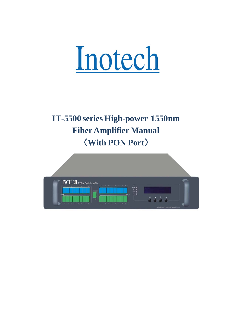

# **IT-5500 series High-power 1550nm FiberAmplifier Manual** (**With PON Port**)

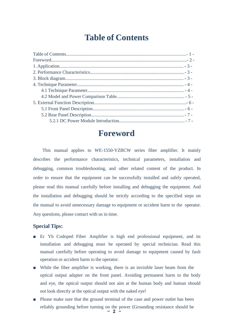# **Table of Contents**

<span id="page-1-0"></span>

### **Foreword**

<span id="page-1-1"></span>This manual applies to WE-1550-YZBCW series fiber amplifier. It mainly describes the performance characteristics, technical parameters, installation and debugging, common troubleshooting, and other related content of the product. In order to ensure that the equipment can be successfully installed and safely operated, please read this manual carefully before installing and debugging the equipment. And the installation and debugging should be strictly according to the specified steps on the manual to avoid unnecessary damage to equipment or accident harm to the operator. Any questions, please contact with us in time.

#### **Special Tips:**

- Er Yb Codoped Fiber Amplifier is high end professional equipment, and its installation and debugging must be operated by special technician. Read this manual carefully before operating to avoid damage to equipment caused by fault operation or accident harm to the operator.
- While the fiber amplifier is working, there is an invisible laser beam from the optical output adapter on the front panel. Avoiding permanent harm to the body and eye, the optical output should not aim at the human body and human should not look directly at the optical output with the naked eye!
- $2$   $-$ Please make sure that the ground terminal of the case and power outlet has been reliably grounding before turning on the power (Grounding resistance should be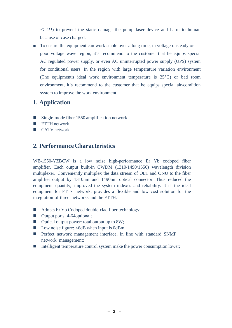$<$  4 $\Omega$ ) to prevent the static damage the pump laser device and harm to human because of case charged.

■ To ensure the equipment can work stable over a long time, in voltage unsteady or poor voltage wave region, it´s recommend to the customer that he equips special AC regulated power supply, or even AC uninterrupted power supply (UPS) system for conditional users. In the region with large temperature variation environment (The equipment's ideal work environment temperature is 25°C) or bad room environment, it´s recommend to the customer that he equips special air-condition system to improve the work environment.

### <span id="page-2-0"></span>**1. Application**

- Single-mode fiber 1550 amplification network
- **FTTH** network
- **CATV** network

### **2. PerformanceCharacteristics**

WE-1550-YZBCW is a low noise high-performance Er Yb codoped fiber amplifier. Each output built-in CWDM (1310/1490/1550) wavelength division multiplexer. Conveniently multiplex the data stream of OLT and ONU to the fiber amplifier output by 1310nm and 1490nm optical connector. Thus reduced the equipment quantity, improved the system indexes and reliability. It is the ideal equipment for FTTx network, provides a flexible and low cost solution for the integration of three networks and the FTTH.

- Adopts Er Yb Codoped double-clad fiber technology;
- Output ports: 4-64optional;
- Optical output power: total output up to 8W;
- Low noise figure:  $\leq$  6dB when input is 0dBm;
- **Perfect network management interface, in line with standard SNMP** network management;
- $\blacksquare$  Intelligent temperature control system make the power consumption lower;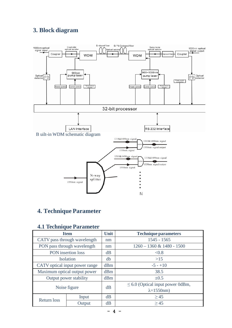### **3. Block diagram**



### <span id="page-3-0"></span>**4. Technique Parameter**

### **4.1 Technique Parameter**

| <b>Item</b>                    |        | <b>Unit</b> | <b>Technique parameters</b>           |  |
|--------------------------------|--------|-------------|---------------------------------------|--|
| CATV pass through wavelength   |        | nm          | $1545 - 1565$                         |  |
| PON pass through wavelength    |        | nm          | $1260 - 1360$ & 1480 - 1500           |  |
| PON insertion loss             |        | dB          | < 0.8                                 |  |
| <b>Isolation</b>               |        | db          | >15                                   |  |
| CATV optical input power range |        | dBm         | $-5 - +10$                            |  |
| Maximum optical output power   |        | dBm         | 38.5                                  |  |
| Output power stability         |        | dBm         | $\pm 0.5$                             |  |
| Noise figure                   |        | dB          | $\leq 6.0$ (Optical input power 0dBm, |  |
|                                |        |             | $\lambda = 1550$ nm)                  |  |
| <b>Return loss</b>             | Input  | dB          | >45                                   |  |
|                                | Output | dB          | >45                                   |  |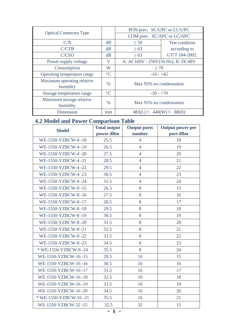|                                        |                 | PON port: SC/UPC or LC/UPC        |                       |
|----------------------------------------|-----------------|-----------------------------------|-----------------------|
| <b>Optical Connector Type</b>          |                 | COM port: SC/APC or LC/APC        |                       |
| C/N                                    | dB              | $\geq 50$                         | <b>Test condition</b> |
| C/CTB                                  | dB              | $\geq 63$                         | according to          |
| C/CSO                                  | dB              | $\geq 63$                         | GT/T 184-2002.        |
| Power supply voltage                   | V               | A: AC160V - 250V(50 Hz); B: DC48V |                       |
| Consumption                            | W               | $\leq 70$                         |                       |
| Operating temperature range            | $\rm ^{\circ}C$ | $-10 - +42$                       |                       |
| Maximum operating relative<br>humidity | $\%$            | Max 95% no condensation           |                       |
| Storage temperature range              | $\rm ^{\circ}C$ | $-30 - +70$                       |                       |
| Maximum storage relative               | $\%$            | Max 95% no condensation           |                       |
| humidity                               |                 |                                   |                       |
| Dimension                              | mm              | $483(L)\times 440(W)\times$       | 88(H)                 |

## <span id="page-4-0"></span>**4.2 Model and Power Comparison Table**

| <b>Model</b>          | <b>Total output</b> | <b>Output ports</b> | <b>Output power per</b> |
|-----------------------|---------------------|---------------------|-------------------------|
|                       | power dBm           | number              | port dBm                |
| WE-1550-YZBCW-4-18    | 25.5                | $\overline{4}$      | 18                      |
| WE-1550-YZBCW-4-19    | 26.5                | $\overline{4}$      | 19                      |
| WE-1550-YZBCW-4-20    | 27.5                | $\overline{4}$      | 20                      |
| WE-1550-YZBCW-4-21    | 28.5                | $\overline{4}$      | 21                      |
| WE-1550-YZBCW-4-22    | 29.5                | $\overline{4}$      | 22                      |
| WE-1550-YZBCW-4-23    | 30.5                | $\overline{4}$      | 23                      |
| WE-1550-YZBCW-4-24    | 31.5                | $\overline{4}$      | 24                      |
| WE-1550-YZBCW-8-15    | 26.5                | 8                   | 15                      |
| WE-1550-YZBCW-8-16    | 27.5                | 8                   | 16                      |
| WE-1550-YZBCW-8-17    | 28.5                | 8                   | 17                      |
| WE-1550-YZBCW-8-18    | 29.5                | 8                   | 18                      |
| WE-1550-YZBCW-8-19    | 30.5                | 8                   | 19                      |
| WE-1550-YZBCW-8-20    | 31.5                | 8                   | 20                      |
| WE-1550-YZBCW-8-21    | 32.5                | 8                   | 21                      |
| WE-1550-YZBCW-8-22    | 33.5                | 8                   | 22                      |
| WE-1550-YZBCW-8-23    | 34.5                | 8                   | 23                      |
| * WE-1550-YZBCW-8-24  | 35.5                | 8                   | 24                      |
| WE-1550-YZBCW-16-15   | 29.5                | 16                  | 15                      |
| WE-1550-YZBCW-16-16   | 30.5                | 16                  | 16                      |
| WE-1550-YZBCW-16-17   | 31.5                | 16                  | 17                      |
| WE-1550-YZBCW-16-18   | 32.5                | 16                  | 18                      |
| WE-1550-YZBCW-16-19   | 33.5                | 16                  | 19                      |
| WE-1550-YZBCW-16-20   | 34.5                | 16                  | 20                      |
| * WE-1550-YZBCW-16-21 | 35.5                | 16                  | 21                      |
| WE-1550-YZBCW-32-15   | 32.5                | 32                  | 15                      |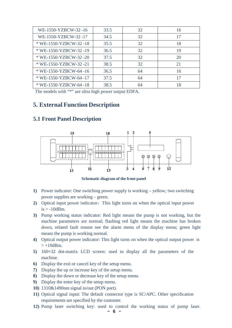| WE-1550-YZBCW-32-16   | 33.5 | 32 | 16 |
|-----------------------|------|----|----|
| WE-1550-YZBCW-32-17   | 34.5 | 32 | 17 |
| * WE-1550-YZBCW-32-18 | 35.5 | 32 | 18 |
| * WE-1550-YZBCW-32-19 | 36.5 | 32 | 19 |
| * WE-1550-YZBCW-32-20 | 37.5 | 32 | 20 |
| * WE-1550-YZBCW-32-21 | 38.5 | 32 | 21 |
| * WE-1550-YZBCW-64-16 | 36.5 | 64 | 16 |
| * WE-1550-YZBCW-64-17 | 37.5 | 64 | 17 |
| * WE-1550-YZBCW-64-18 | 38.5 | 64 | 18 |

The models with "\*" are ultra high power output EDFA.

 $11$ 

#### <span id="page-5-0"></span>**5. External Function Description**

# $\overline{2}$  $10$ 10  $\circledcirc$ 0

 $13$ 

#### **5.1 Front Panel Description**

 $13$ 

**Schematic diagram of the front panel**

 $\frac{1}{3}$ 

- **1)** Power indicator: One switching power supply is working yellow; two switching power supplies are working – green.
- **2)** Optical input power indicator: This light turns on when the optical input power  $is > -10$ dBm.
- **3)** Pump working status indicator: Red light means the pump is not working, but the machine parameters are normal; flashing red light means the machine has broken down, related fault reason see the alarm menu of the display menu; green light means the pump is working normal.
- **4)** Optical output power indicator: This light turns on when the optical output power is  $> +10$ dBm.
- **5)** 160×32 dot-matrix LCD screen: used to display all the parameters of the machine.
- **6)** Display the exit or cancel key of the setup menu.
- **7)** Display the up or increase key of the setup menu.
- **8)** Display the down or decrease key of the setup menu.
- **9)** Display the enter key of the setup menu.
- **10)** 1310&1490nm signal in/out (PON port).
- **11)** Optical signal input: The default connector type is SC/APC. Other specification requirements are specified by the customer.
- **12)** Pump laser switching key: used to control the working status of pump laser.